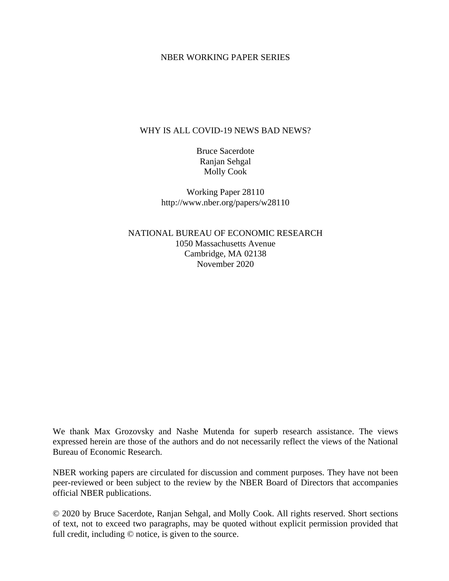#### NBER WORKING PAPER SERIES

#### WHY IS ALL COVID-19 NEWS BAD NEWS?

Bruce Sacerdote Ranjan Sehgal Molly Cook

Working Paper 28110 http://www.nber.org/papers/w28110

NATIONAL BUREAU OF ECONOMIC RESEARCH 1050 Massachusetts Avenue Cambridge, MA 02138 November 2020

We thank Max Grozovsky and Nashe Mutenda for superb research assistance. The views expressed herein are those of the authors and do not necessarily reflect the views of the National Bureau of Economic Research.

NBER working papers are circulated for discussion and comment purposes. They have not been peer-reviewed or been subject to the review by the NBER Board of Directors that accompanies official NBER publications.

© 2020 by Bruce Sacerdote, Ranjan Sehgal, and Molly Cook. All rights reserved. Short sections of text, not to exceed two paragraphs, may be quoted without explicit permission provided that full credit, including © notice, is given to the source.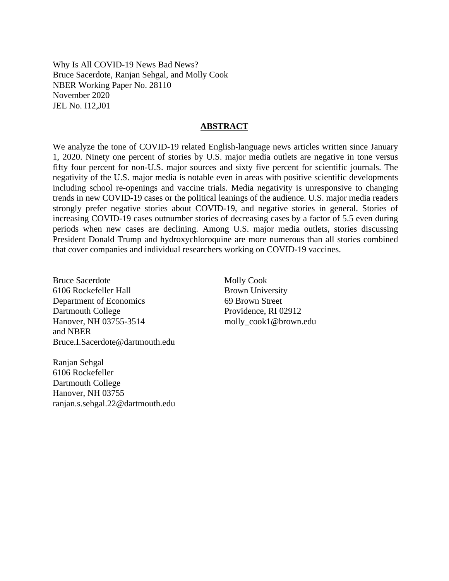Why Is All COVID-19 News Bad News? Bruce Sacerdote, Ranjan Sehgal, and Molly Cook NBER Working Paper No. 28110 November 2020 JEL No. I12,J01

#### **ABSTRACT**

We analyze the tone of COVID-19 related English-language news articles written since January 1, 2020. Ninety one percent of stories by U.S. major media outlets are negative in tone versus fifty four percent for non-U.S. major sources and sixty five percent for scientific journals. The negativity of the U.S. major media is notable even in areas with positive scientific developments including school re-openings and vaccine trials. Media negativity is unresponsive to changing trends in new COVID-19 cases or the political leanings of the audience. U.S. major media readers strongly prefer negative stories about COVID-19, and negative stories in general. Stories of increasing COVID-19 cases outnumber stories of decreasing cases by a factor of 5.5 even during periods when new cases are declining. Among U.S. major media outlets, stories discussing President Donald Trump and hydroxychloroquine are more numerous than all stories combined that cover companies and individual researchers working on COVID-19 vaccines.

Bruce Sacerdote 6106 Rockefeller Hall Department of Economics Dartmouth College Hanover, NH 03755-3514 and NBER Bruce.I.Sacerdote@dartmouth.edu

Ranjan Sehgal 6106 Rockefeller Dartmouth College Hanover, NH 03755 ranjan.s.sehgal.22@dartmouth.edu

Molly Cook Brown University 69 Brown Street Providence, RI 02912 molly\_cook1@brown.edu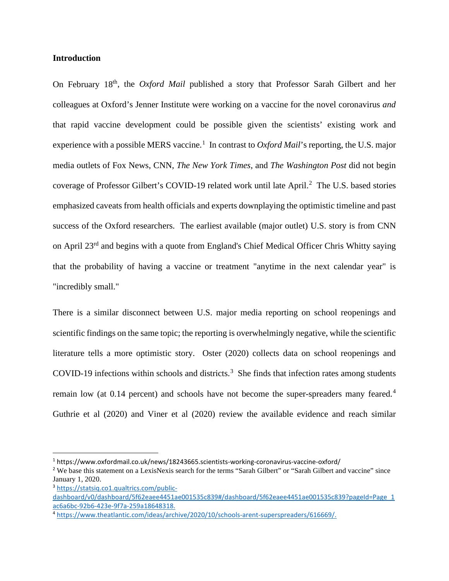#### **Introduction**

On February 18th, the *Oxford Mail* published a story that Professor Sarah Gilbert and her colleagues at Oxford's Jenner Institute were working on a vaccine for the novel coronavirus *and* that rapid vaccine development could be possible given the scientists' existing work and experience with a possible MERS vaccine.<sup>[1](#page-2-0)</sup> In contrast to *Oxford Mail*'s reporting, the U.S. major media outlets of Fox News, CNN, *The New York Times*, and *The Washington Post* did not begin coverage of Professor Gilbert's COVID-19 related work until late April.<sup>[2](#page-2-1)</sup> The U.S. based stories emphasized caveats from health officials and experts downplaying the optimistic timeline and past success of the Oxford researchers. The earliest available (major outlet) U.S. story is from CNN on April 23<sup>rd</sup> and begins with a quote from England's Chief Medical Officer Chris Whitty saying that the probability of having a vaccine or treatment "anytime in the next calendar year" is "incredibly small."

There is a similar disconnect between U.S. major media reporting on school reopenings and scientific findings on the same topic; the reporting is overwhelmingly negative, while the scientific literature tells a more optimistic story. Oster (2020) collects data on school reopenings and COVID-19 infections within schools and districts. [3](#page-2-2) She finds that infection rates among students remain low (at 0.1[4](#page-2-3) percent) and schools have not become the super-spreaders many feared.<sup>4</sup> Guthrie et al (2020) and Viner et al (2020) review the available evidence and reach similar

<span id="page-2-0"></span><sup>1</sup> https://www.oxfordmail.co.uk/news/18243665.scientists-working-coronavirus-vaccine-oxford/

<span id="page-2-1"></span><sup>&</sup>lt;sup>2</sup> We base this statement on a LexisNexis search for the terms "Sarah Gilbert" or "Sarah Gilbert and vaccine" since January 1, 2020.

<span id="page-2-2"></span><sup>3</sup> [https://statsiq.co1.qualtrics.com/public-](https://statsiq.co1.qualtrics.com/public-dashboard/v0/dashboard/5f62eaee4451ae001535c839#/dashboard/5f62eaee4451ae001535c839?pageId=Page_1ac6a6bc-92b6-423e-9f7a-259a18648318.)

[dashboard/v0/dashboard/5f62eaee4451ae001535c839#/dashboard/5f62eaee4451ae001535c839?pageId=Page\\_1](https://statsiq.co1.qualtrics.com/public-dashboard/v0/dashboard/5f62eaee4451ae001535c839#/dashboard/5f62eaee4451ae001535c839?pageId=Page_1ac6a6bc-92b6-423e-9f7a-259a18648318.) [ac6a6bc-92b6-423e-9f7a-259a18648318.](https://statsiq.co1.qualtrics.com/public-dashboard/v0/dashboard/5f62eaee4451ae001535c839#/dashboard/5f62eaee4451ae001535c839?pageId=Page_1ac6a6bc-92b6-423e-9f7a-259a18648318.)

<span id="page-2-3"></span><sup>4</sup> [https://www.theatlantic.com/ideas/archive/2020/10/schools-arent-superspreaders/616669/.](https://www.theatlantic.com/ideas/archive/2020/10/schools-arent-superspreaders/616669/)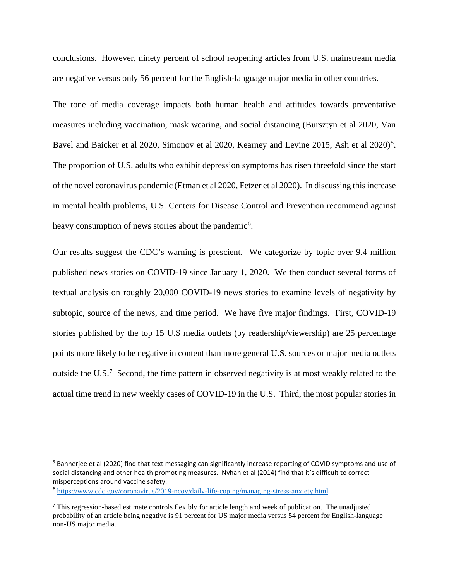conclusions. However, ninety percent of school reopening articles from U.S. mainstream media are negative versus only 56 percent for the English-language major media in other countries.

The tone of media coverage impacts both human health and attitudes towards preventative measures including vaccination, mask wearing, and social distancing (Bursztyn et al 2020, Van Bavel and Baicker et al 2020, Simonov et al 2020, Kearney and Levine 201[5](#page-3-0), Ash et al 2020)<sup>5</sup>. The proportion of U.S. adults who exhibit depression symptoms has risen threefold since the start of the novel coronavirus pandemic (Etman et al 2020, Fetzer et al 2020). In discussing thisincrease in mental health problems, U.S. Centers for Disease Control and Prevention recommend against heavy consumption of news stories about the pandemic<sup>[6](#page-3-1)</sup>.

Our results suggest the CDC's warning is prescient. We categorize by topic over 9.4 million published news stories on COVID-19 since January 1, 2020. We then conduct several forms of textual analysis on roughly 20,000 COVID-19 news stories to examine levels of negativity by subtopic, source of the news, and time period. We have five major findings. First, COVID-19 stories published by the top 15 U.S media outlets (by readership/viewership) are 25 percentage points more likely to be negative in content than more general U.S. sources or major media outlets outside the U.S.<sup>[7](#page-3-2)</sup> Second, the time pattern in observed negativity is at most weakly related to the actual time trend in new weekly cases of COVID-19 in the U.S. Third, the most popular stories in

<span id="page-3-0"></span><sup>&</sup>lt;sup>5</sup> Bannerjee et al (2020) find that text messaging can significantly increase reporting of COVID symptoms and use of social distancing and other health promoting measures. Nyhan et al (2014) find that it's difficult to correct misperceptions around vaccine safety.

<span id="page-3-1"></span><sup>6</sup> <https://www.cdc.gov/coronavirus/2019-ncov/daily-life-coping/managing-stress-anxiety.html>

<span id="page-3-2"></span> $<sup>7</sup>$  This regression-based estimate controls flexibly for article length and week of publication. The unadjusted</sup> probability of an article being negative is 91 percent for US major media versus 54 percent for English-language non-US major media.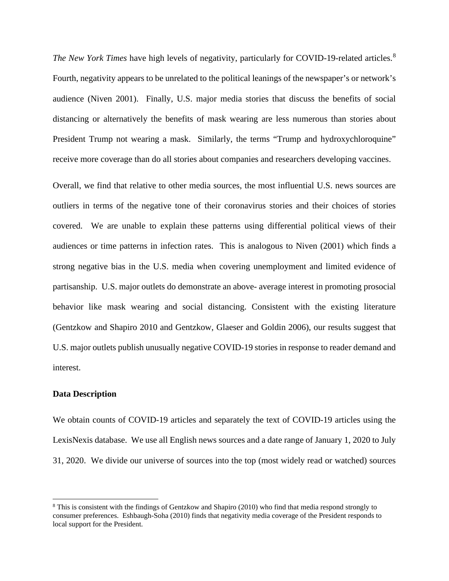*The New York Times* have high levels of negativity, particularly for COVID-19-related articles. [8](#page-4-0) Fourth, negativity appears to be unrelated to the political leanings of the newspaper's or network's audience (Niven 2001). Finally, U.S. major media stories that discuss the benefits of social distancing or alternatively the benefits of mask wearing are less numerous than stories about President Trump not wearing a mask. Similarly, the terms "Trump and hydroxychloroquine" receive more coverage than do all stories about companies and researchers developing vaccines.

Overall, we find that relative to other media sources, the most influential U.S. news sources are outliers in terms of the negative tone of their coronavirus stories and their choices of stories covered. We are unable to explain these patterns using differential political views of their audiences or time patterns in infection rates. This is analogous to Niven (2001) which finds a strong negative bias in the U.S. media when covering unemployment and limited evidence of partisanship. U.S. major outlets do demonstrate an above- average interest in promoting prosocial behavior like mask wearing and social distancing. Consistent with the existing literature (Gentzkow and Shapiro 2010 and Gentzkow, Glaeser and Goldin 2006), our results suggest that U.S. major outlets publish unusually negative COVID-19 stories in response to reader demand and interest.

#### **Data Description**

We obtain counts of COVID-19 articles and separately the text of COVID-19 articles using the LexisNexis database. We use all English news sources and a date range of January 1, 2020 to July 31, 2020. We divide our universe of sources into the top (most widely read or watched) sources

<span id="page-4-0"></span><sup>8</sup> This is consistent with the findings of Gentzkow and Shapiro (2010) who find that media respond strongly to consumer preferences. Eshbaugh-Soha (2010) finds that negativity media coverage of the President responds to local support for the President.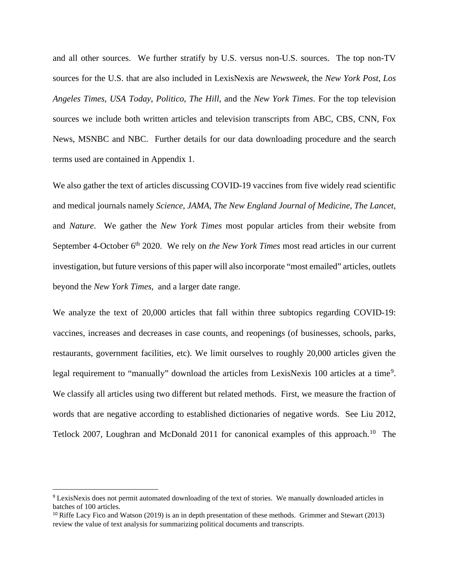and all other sources. We further stratify by U.S. versus non-U.S. sources. The top non-TV sources for the U.S. that are also included in LexisNexis are *Newsweek*, the *New York Post*, *Los Angeles Times*, *USA Today*, *Politico*, *The Hill*, and the *New York Times*. For the top television sources we include both written articles and television transcripts from ABC, CBS, CNN, Fox News, MSNBC and NBC. Further details for our data downloading procedure and the search terms used are contained in Appendix 1.

We also gather the text of articles discussing COVID-19 vaccines from five widely read scientific and medical journals namely *Science*, *JAMA*, *The New England Journal of Medicine*, *The Lancet*, and *Nature*. We gather the *New York Times* most popular articles from their website from September 4-October 6<sup>th</sup> 2020. We rely on *the New York Times* most read articles in our current investigation, but future versions of this paper will also incorporate "most emailed" articles, outlets beyond the *New York Times*, and a larger date range.

We analyze the text of 20,000 articles that fall within three subtopics regarding COVID-19: vaccines, increases and decreases in case counts, and reopenings (of businesses, schools, parks, restaurants, government facilities, etc). We limit ourselves to roughly 20,000 articles given the legal requirement to "manually" download the articles from LexisNexis 100 articles at a time<sup>[9](#page-5-0)</sup>. We classify all articles using two different but related methods. First, we measure the fraction of words that are negative according to established dictionaries of negative words. See Liu 2012, Tetlock 2007, Loughran and McDonald 2011 for canonical examples of this approach.<sup>10</sup> The

<span id="page-5-0"></span><sup>9</sup> LexisNexis does not permit automated downloading of the text of stories. We manually downloaded articles in batches of 100 articles.<br><sup>10</sup> Riffe Lacy Fico and Watson (2019) is an in depth presentation of these methods. Grimmer and Stewart (2013)

<span id="page-5-1"></span>review the value of text analysis for summarizing political documents and transcripts.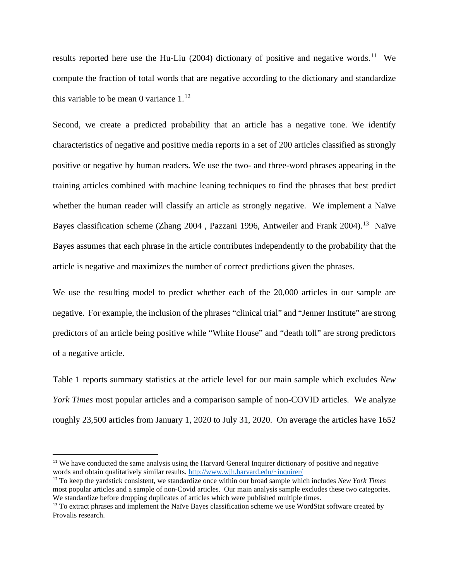results reported here use the Hu-Liu (2004) dictionary of positive and negative words.<sup>[11](#page-6-0)</sup> We compute the fraction of total words that are negative according to the dictionary and standardize this variable to be mean 0 variance  $1^{12}$ 

Second, we create a predicted probability that an article has a negative tone. We identify characteristics of negative and positive media reports in a set of 200 articles classified as strongly positive or negative by human readers. We use the two- and three-word phrases appearing in the training articles combined with machine leaning techniques to find the phrases that best predict whether the human reader will classify an article as strongly negative. We implement a Naïve Bayes classification scheme (Zhang 2004, Pazzani 1996, Antweiler and Frank 2004).<sup>[13](#page-6-2)</sup> Naïve Bayes assumes that each phrase in the article contributes independently to the probability that the article is negative and maximizes the number of correct predictions given the phrases.

We use the resulting model to predict whether each of the 20,000 articles in our sample are negative. For example, the inclusion of the phrases "clinical trial" and "Jenner Institute" are strong predictors of an article being positive while "White House" and "death toll" are strong predictors of a negative article.

Table 1 reports summary statistics at the article level for our main sample which excludes *New York Times* most popular articles and a comparison sample of non-COVID articles. We analyze roughly 23,500 articles from January 1, 2020 to July 31, 2020. On average the articles have 1652

<span id="page-6-0"></span><sup>&</sup>lt;sup>11</sup> We have conducted the same analysis using the Harvard General Inquirer dictionary of positive and negative words and obtain qualitatively similar results. [http://www.wjh.harvard.edu/~inquirer/](http://www.wjh.harvard.edu/%7Einquirer/)

<span id="page-6-1"></span><sup>12</sup> To keep the yardstick consistent, we standardize once within our broad sample which includes *New York Times* most popular articles and a sample of non-Covid articles. Our main analysis sample excludes these two categories. We standardize before dropping duplicates of articles which were published multiple times.

<span id="page-6-2"></span><sup>&</sup>lt;sup>13</sup> To extract phrases and implement the Naïve Bayes classification scheme we use WordStat software created by Provalis research.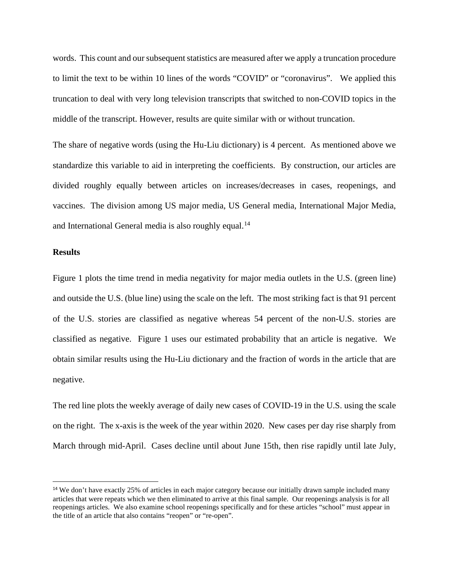words. This count and our subsequent statistics are measured after we apply a truncation procedure to limit the text to be within 10 lines of the words "COVID" or "coronavirus". We applied this truncation to deal with very long television transcripts that switched to non-COVID topics in the middle of the transcript. However, results are quite similar with or without truncation.

The share of negative words (using the Hu-Liu dictionary) is 4 percent. As mentioned above we standardize this variable to aid in interpreting the coefficients. By construction, our articles are divided roughly equally between articles on increases/decreases in cases, reopenings, and vaccines. The division among US major media, US General media, International Major Media, and International General media is also roughly equal.<sup>[14](#page-7-0)</sup>

#### **Results**

Figure 1 plots the time trend in media negativity for major media outlets in the U.S. (green line) and outside the U.S. (blue line) using the scale on the left. The most striking fact is that 91 percent of the U.S. stories are classified as negative whereas 54 percent of the non-U.S. stories are classified as negative. Figure 1 uses our estimated probability that an article is negative. We obtain similar results using the Hu-Liu dictionary and the fraction of words in the article that are negative.

The red line plots the weekly average of daily new cases of COVID-19 in the U.S. using the scale on the right. The x-axis is the week of the year within 2020. New cases per day rise sharply from March through mid-April. Cases decline until about June 15th, then rise rapidly until late July,

<span id="page-7-0"></span><sup>&</sup>lt;sup>14</sup> We don't have exactly 25% of articles in each major category because our initially drawn sample included many articles that were repeats which we then eliminated to arrive at this final sample. Our reopenings analysis is for all reopenings articles. We also examine school reopenings specifically and for these articles "school" must appear in the title of an article that also contains "reopen" or "re-open".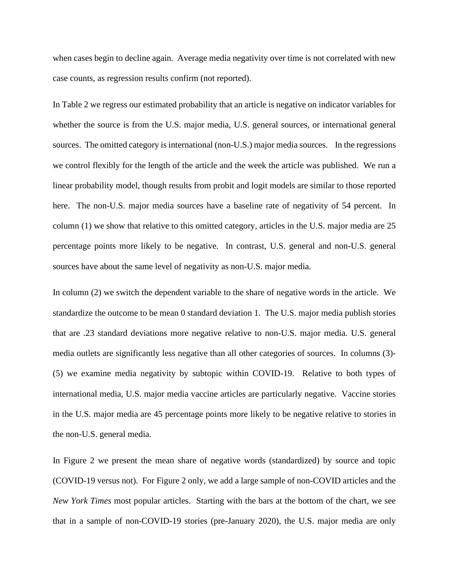when cases begin to decline again. Average media negativity over time is not correlated with new case counts, as regression results confirm (not reported).

In Table 2 we regress our estimated probability that an article is negative on indicator variables for whether the source is from the U.S. major media, U.S. general sources, or international general sources. The omitted category is international (non-U.S.) major media sources. In the regressions we control flexibly for the length of the article and the week the article was published. We run a linear probability model, though results from probit and logit models are similar to those reported here. The non-U.S. major media sources have a baseline rate of negativity of 54 percent. In column (1) we show that relative to this omitted category, articles in the U.S. major media are 25 percentage points more likely to be negative. In contrast, U.S. general and non-U.S. general sources have about the same level of negativity as non-U.S. major media.

In column (2) we switch the dependent variable to the share of negative words in the article. We standardize the outcome to be mean 0 standard deviation 1. The U.S. major media publish stories that are .23 standard deviations more negative relative to non-U.S. major media. U.S. general media outlets are significantly less negative than all other categories of sources. In columns (3)- (5) we examine media negativity by subtopic within COVID-19. Relative to both types of international media, U.S. major media vaccine articles are particularly negative. Vaccine stories in the U.S. major media are 45 percentage points more likely to be negative relative to stories in the non-U.S. general media.

In Figure 2 we present the mean share of negative words (standardized) by source and topic (COVID-19 versus not). For Figure 2 only, we add a large sample of non-COVID articles and the *New York Times* most popular articles. Starting with the bars at the bottom of the chart, we see that in a sample of non-COVID-19 stories (pre-January 2020), the U.S. major media are only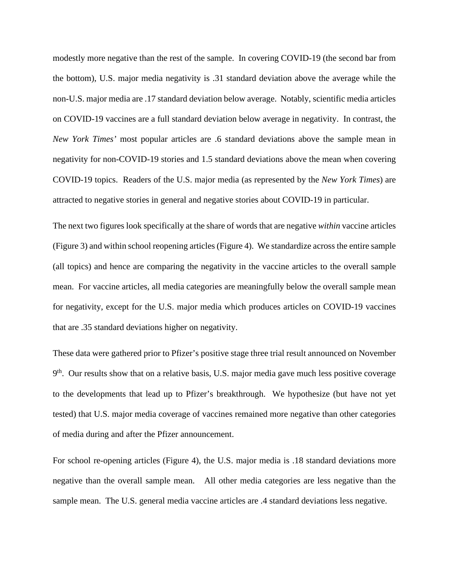modestly more negative than the rest of the sample. In covering COVID-19 (the second bar from the bottom), U.S. major media negativity is .31 standard deviation above the average while the non-U.S. major media are .17 standard deviation below average. Notably, scientific media articles on COVID-19 vaccines are a full standard deviation below average in negativity. In contrast, the *New York Times'* most popular articles are .6 standard deviations above the sample mean in negativity for non-COVID-19 stories and 1.5 standard deviations above the mean when covering COVID-19 topics. Readers of the U.S. major media (as represented by the *New York Times*) are attracted to negative stories in general and negative stories about COVID-19 in particular.

The next two figures look specifically at the share of words that are negative *within* vaccine articles (Figure 3) and within school reopening articles (Figure 4). We standardize across the entire sample (all topics) and hence are comparing the negativity in the vaccine articles to the overall sample mean. For vaccine articles, all media categories are meaningfully below the overall sample mean for negativity, except for the U.S. major media which produces articles on COVID-19 vaccines that are .35 standard deviations higher on negativity.

These data were gathered prior to Pfizer's positive stage three trial result announced on November 9<sup>th</sup>. Our results show that on a relative basis, U.S. major media gave much less positive coverage to the developments that lead up to Pfizer's breakthrough. We hypothesize (but have not yet tested) that U.S. major media coverage of vaccines remained more negative than other categories of media during and after the Pfizer announcement.

For school re-opening articles (Figure 4), the U.S. major media is .18 standard deviations more negative than the overall sample mean. All other media categories are less negative than the sample mean. The U.S. general media vaccine articles are .4 standard deviations less negative.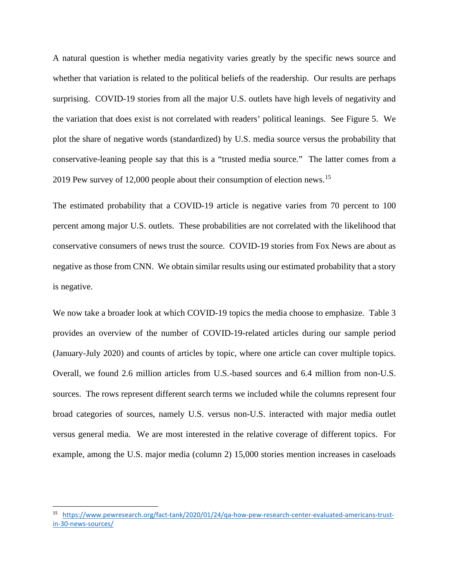A natural question is whether media negativity varies greatly by the specific news source and whether that variation is related to the political beliefs of the readership. Our results are perhaps surprising. COVID-19 stories from all the major U.S. outlets have high levels of negativity and the variation that does exist is not correlated with readers' political leanings. See Figure 5. We plot the share of negative words (standardized) by U.S. media source versus the probability that conservative-leaning people say that this is a "trusted media source." The latter comes from a 2019 Pew survey of 12,000 people about their consumption of election news.[15](#page-10-0)

The estimated probability that a COVID-19 article is negative varies from 70 percent to 100 percent among major U.S. outlets. These probabilities are not correlated with the likelihood that conservative consumers of news trust the source. COVID-19 stories from Fox News are about as negative as those from CNN. We obtain similar results using our estimated probability that a story is negative.

We now take a broader look at which COVID-19 topics the media choose to emphasize. Table 3 provides an overview of the number of COVID-19-related articles during our sample period (January-July 2020) and counts of articles by topic, where one article can cover multiple topics. Overall, we found 2.6 million articles from U.S.-based sources and 6.4 million from non-U.S. sources. The rows represent different search terms we included while the columns represent four broad categories of sources, namely U.S. versus non-U.S. interacted with major media outlet versus general media. We are most interested in the relative coverage of different topics. For example, among the U.S. major media (column 2) 15,000 stories mention increases in caseloads

<span id="page-10-0"></span><sup>15</sup> [https://www.pewresearch.org/fact-tank/2020/01/24/qa-how-pew-research-center-evaluated-americans-trust](https://www.pewresearch.org/fact-tank/2020/01/24/qa-how-pew-research-center-evaluated-americans-trust-in-30-news-sources/)[in-30-news-sources/](https://www.pewresearch.org/fact-tank/2020/01/24/qa-how-pew-research-center-evaluated-americans-trust-in-30-news-sources/)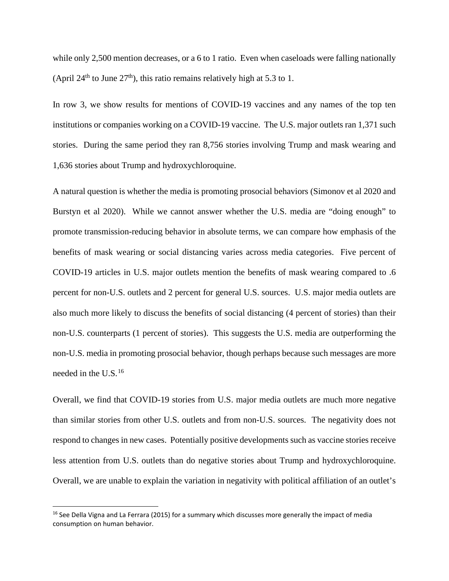while only 2,500 mention decreases, or a 6 to 1 ratio. Even when caseloads were falling nationally (April 24<sup>th</sup> to June 27<sup>th</sup>), this ratio remains relatively high at 5.3 to 1.

In row 3, we show results for mentions of COVID-19 vaccines and any names of the top ten institutions or companies working on a COVID-19 vaccine. The U.S. major outlets ran 1,371 such stories. During the same period they ran 8,756 stories involving Trump and mask wearing and 1,636 stories about Trump and hydroxychloroquine.

A natural question is whether the media is promoting prosocial behaviors (Simonov et al 2020 and Burstyn et al 2020). While we cannot answer whether the U.S. media are "doing enough" to promote transmission-reducing behavior in absolute terms, we can compare how emphasis of the benefits of mask wearing or social distancing varies across media categories. Five percent of COVID-19 articles in U.S. major outlets mention the benefits of mask wearing compared to .6 percent for non-U.S. outlets and 2 percent for general U.S. sources. U.S. major media outlets are also much more likely to discuss the benefits of social distancing (4 percent of stories) than their non-U.S. counterparts (1 percent of stories). This suggests the U.S. media are outperforming the non-U.S. media in promoting prosocial behavior, though perhaps because such messages are more needed in the U.S.[16](#page-11-0)

Overall, we find that COVID-19 stories from U.S. major media outlets are much more negative than similar stories from other U.S. outlets and from non-U.S. sources. The negativity does not respond to changes in new cases. Potentially positive developments such as vaccine stories receive less attention from U.S. outlets than do negative stories about Trump and hydroxychloroquine. Overall, we are unable to explain the variation in negativity with political affiliation of an outlet's

<span id="page-11-0"></span><sup>&</sup>lt;sup>16</sup> See Della Vigna and La Ferrara (2015) for a summary which discusses more generally the impact of media consumption on human behavior.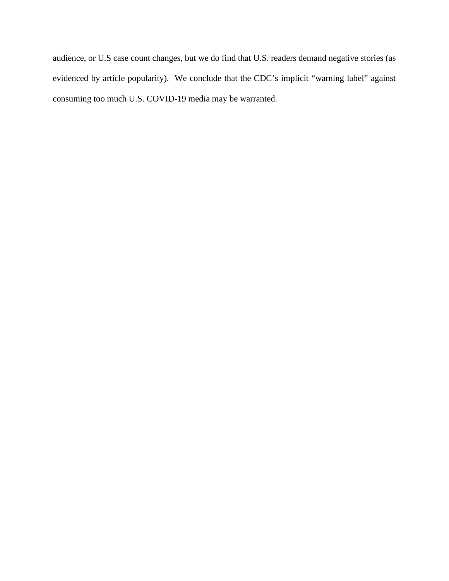audience, or U.S case count changes, but we do find that U.S. readers demand negative stories (as evidenced by article popularity). We conclude that the CDC's implicit "warning label" against consuming too much U.S. COVID-19 media may be warranted.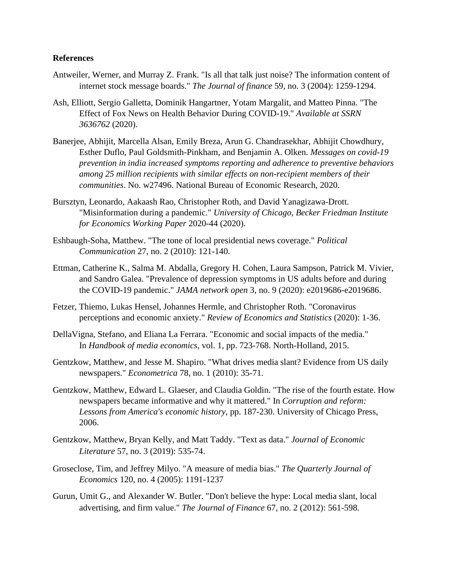#### **References**

- Antweiler, Werner, and Murray Z. Frank. "Is all that talk just noise? The information content of internet stock message boards." *The Journal of finance* 59, no. 3 (2004): 1259-1294.
- Ash, Elliott, Sergio Galletta, Dominik Hangartner, Yotam Margalit, and Matteo Pinna. "The Effect of Fox News on Health Behavior During COVID-19." *Available at SSRN 3636762* (2020).
- Banerjee, Abhijit, Marcella Alsan, Emily Breza, Arun G. Chandrasekhar, Abhijit Chowdhury, Esther Duflo, Paul Goldsmith-Pinkham, and Benjamin A. Olken. *Messages on covid-19 prevention in india increased symptoms reporting and adherence to preventive behaviors among 25 million recipients with similar effects on non-recipient members of their communities*. No. w27496. National Bureau of Economic Research, 2020.
- Bursztyn, Leonardo, Aakaash Rao, Christopher Roth, and David Yanagizawa-Drott. "Misinformation during a pandemic." *University of Chicago, Becker Friedman Institute for Economics Working Paper* 2020-44 (2020).
- Eshbaugh-Soha, Matthew. "The tone of local presidential news coverage." *Political Communication* 27, no. 2 (2010): 121-140.
- Ettman, Catherine K., Salma M. Abdalla, Gregory H. Cohen, Laura Sampson, Patrick M. Vivier, and Sandro Galea. "Prevalence of depression symptoms in US adults before and during the COVID-19 pandemic." *JAMA network open* 3, no. 9 (2020): e2019686-e2019686.
- Fetzer, Thiemo, Lukas Hensel, Johannes Hermle, and Christopher Roth. "Coronavirus perceptions and economic anxiety." *Review of Economics and Statistics* (2020): 1-36.
- DellaVigna, Stefano, and Eliana La Ferrara. "Economic and social impacts of the media." In *Handbook of media economics*, vol. 1, pp. 723-768. North-Holland, 2015.
- Gentzkow, Matthew, and Jesse M. Shapiro. "What drives media slant? Evidence from US daily newspapers." *Econometrica* 78, no. 1 (2010): 35-71.
- Gentzkow, Matthew, Edward L. Glaeser, and Claudia Goldin. "The rise of the fourth estate. How newspapers became informative and why it mattered." In *Corruption and reform: Lessons from America's economic history*, pp. 187-230. University of Chicago Press, 2006.
- Gentzkow, Matthew, Bryan Kelly, and Matt Taddy. "Text as data." *Journal of Economic Literature* 57, no. 3 (2019): 535-74.
- Groseclose, Tim, and Jeffrey Milyo. "A measure of media bias." *The Quarterly Journal of Economics* 120, no. 4 (2005): 1191-1237
- Gurun, Umit G., and Alexander W. Butler. "Don't believe the hype: Local media slant, local advertising, and firm value." *The Journal of Finance* 67, no. 2 (2012): 561-598.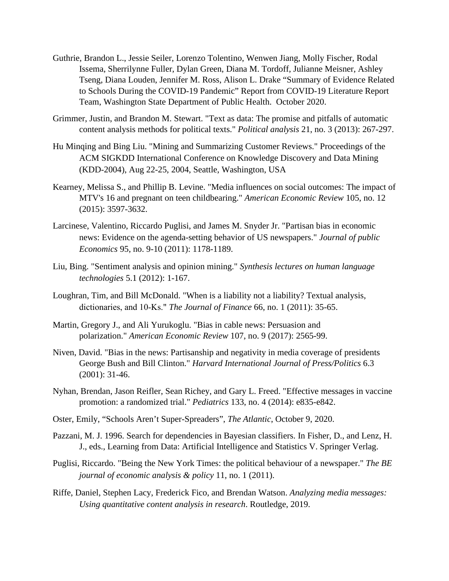- Guthrie, Brandon L., Jessie Seiler, Lorenzo Tolentino, Wenwen Jiang, Molly Fischer, Rodal Issema, Sherrilynne Fuller, Dylan Green, Diana M. Tordoff, Julianne Meisner, Ashley Tseng, Diana Louden, Jennifer M. Ross, Alison L. Drake "Summary of Evidence Related to Schools During the COVID-19 Pandemic" Report from COVID-19 Literature Report Team, Washington State Department of Public Health. October 2020.
- Grimmer, Justin, and Brandon M. Stewart. "Text as data: The promise and pitfalls of automatic content analysis methods for political texts." *Political analysis* 21, no. 3 (2013): 267-297.
- Hu Minqing and Bing Liu. "Mining and Summarizing Customer Reviews." Proceedings of the ACM SIGKDD International Conference on Knowledge Discovery and Data Mining (KDD-2004), Aug 22-25, 2004, Seattle, Washington, USA
- Kearney, Melissa S., and Phillip B. Levine. "Media influences on social outcomes: The impact of MTV's 16 and pregnant on teen childbearing." *American Economic Review* 105, no. 12 (2015): 3597-3632.
- Larcinese, Valentino, Riccardo Puglisi, and James M. Snyder Jr. "Partisan bias in economic news: Evidence on the agenda-setting behavior of US newspapers." *Journal of public Economics* 95, no. 9-10 (2011): 1178-1189.
- Liu, Bing. "Sentiment analysis and opinion mining." *Synthesis lectures on human language technologies* 5.1 (2012): 1-167.
- Loughran, Tim, and Bill McDonald. "When is a liability not a liability? Textual analysis, dictionaries, and 10‐Ks." *The Journal of Finance* 66, no. 1 (2011): 35-65.
- Martin, Gregory J., and Ali Yurukoglu. "Bias in cable news: Persuasion and polarization." *American Economic Review* 107, no. 9 (2017): 2565-99.
- Niven, David. "Bias in the news: Partisanship and negativity in media coverage of presidents George Bush and Bill Clinton." *Harvard International Journal of Press/Politics* 6.3 (2001): 31-46.
- Nyhan, Brendan, Jason Reifler, Sean Richey, and Gary L. Freed. "Effective messages in vaccine promotion: a randomized trial." *Pediatrics* 133, no. 4 (2014): e835-e842.
- Oster, Emily, "Schools Aren't Super-Spreaders", *The Atlantic*, October 9, 2020.
- Pazzani, M. J. 1996. Search for dependencies in Bayesian classifiers. In Fisher, D., and Lenz, H. J., eds., Learning from Data: Artificial Intelligence and Statistics V. Springer Verlag.
- Puglisi, Riccardo. "Being the New York Times: the political behaviour of a newspaper." *The BE journal of economic analysis & policy* 11, no. 1 (2011).
- Riffe, Daniel, Stephen Lacy, Frederick Fico, and Brendan Watson. *Analyzing media messages: Using quantitative content analysis in research*. Routledge, 2019.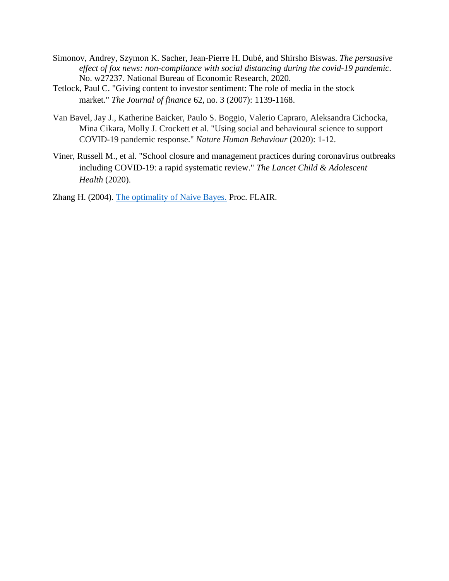- Simonov, Andrey, Szymon K. Sacher, Jean-Pierre H. Dubé, and Shirsho Biswas. *The persuasive effect of fox news: non-compliance with social distancing during the covid-19 pandemic*. No. w27237. National Bureau of Economic Research, 2020.
- Tetlock, Paul C. "Giving content to investor sentiment: The role of media in the stock market." *The Journal of finance* 62, no. 3 (2007): 1139-1168.
- Van Bavel, Jay J., Katherine Baicker, Paulo S. Boggio, Valerio Capraro, Aleksandra Cichocka, Mina Cikara, Molly J. Crockett et al. "Using social and behavioural science to support COVID-19 pandemic response." *Nature Human Behaviour* (2020): 1-12.
- Viner, Russell M., et al. "School closure and management practices during coronavirus outbreaks including COVID-19: a rapid systematic review." *The Lancet Child & Adolescent Health* (2020).

Zhang H. (2004). [The optimality of Naive Bayes.](https://www.cs.unb.ca/%7Ehzhang/publications/FLAIRS04ZhangH.pdf) Proc. FLAIR.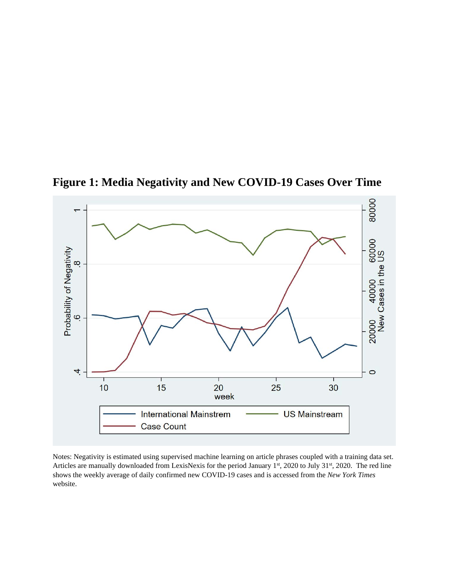

**Figure 1: Media Negativity and New COVID-19 Cases Over Time**

Notes: Negativity is estimated using supervised machine learning on article phrases coupled with a training data set. Articles are manually downloaded from LexisNexis for the period January 1st, 2020 to July 31st, 2020. The red line shows the weekly average of daily confirmed new COVID-19 cases and is accessed from the *New York Times* website.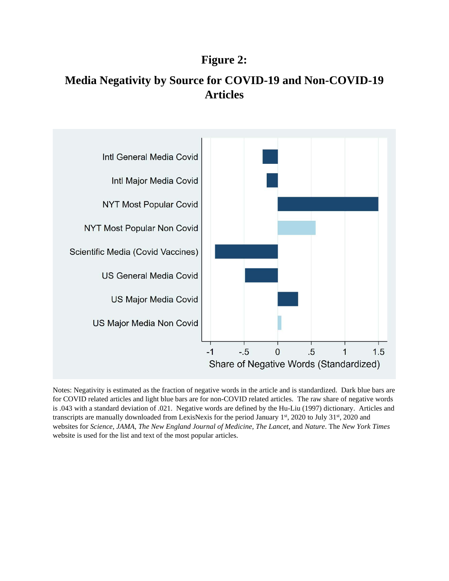## **Figure 2:**

# **Media Negativity by Source for COVID-19 and Non-COVID-19 Articles**



Notes: Negativity is estimated as the fraction of negative words in the article and is standardized. Dark blue bars are for COVID related articles and light blue bars are for non-COVID related articles. The raw share of negative words is .043 with a standard deviation of .021. Negative words are defined by the Hu-Liu (1997) dictionary. Articles and transcripts are manually downloaded from LexisNexis for the period January 1<sup>st</sup>, 2020 to July 31<sup>st</sup>, 2020 and websites for *Science*, *JAMA*, *The New England Journal of Medicine*, *The Lancet*, and *Nature*. The *New York Times* website is used for the list and text of the most popular articles.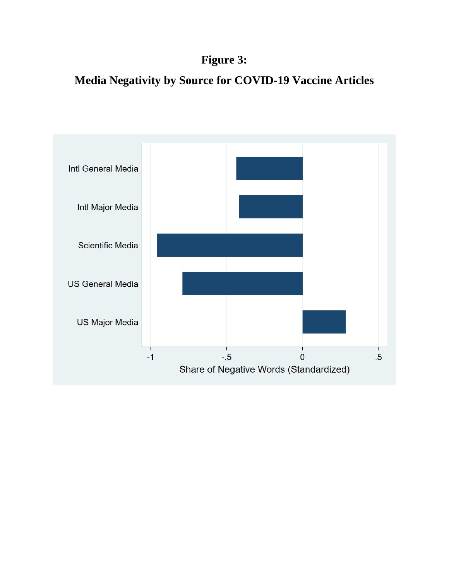# **Figure 3:**

# **Media Negativity by Source for COVID-19 Vaccine Articles**

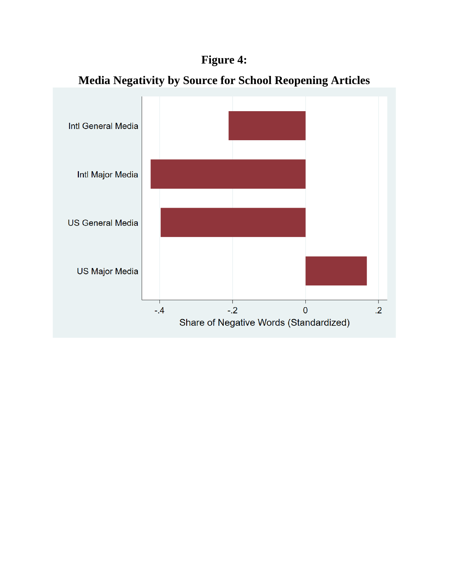# **Figure 4:**



# **Media Negativity by Source for School Reopening Articles**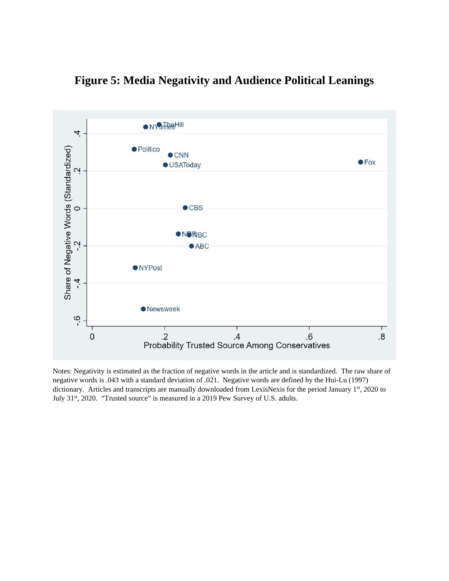



Notes: Negativity is estimated as the fraction of negative words in the article and is standardized. The raw share of negative words is .043 with a standard deviation of .021. Negative words are defined by the Hui-Lu (1997) dictionary. Articles and transcripts are manually downloaded from LexisNexis for the period January 1st, 2020 to July 31<sup>st</sup>, 2020. "Trusted source" is measured in a 2019 Pew Survey of U.S. adults.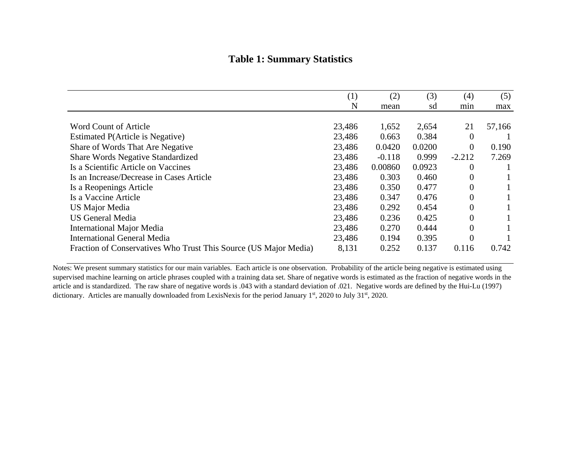### **Table 1: Summary Statistics**

|                                                                  | (1)    | (2)      | (3)    | (4)            | (5)    |
|------------------------------------------------------------------|--------|----------|--------|----------------|--------|
|                                                                  | N      | mean     | sd     | min            | max    |
|                                                                  |        |          |        |                |        |
| <b>Word Count of Article</b>                                     | 23,486 | 1,652    | 2,654  | 21             | 57,166 |
| Estimated P(Article is Negative)                                 | 23,486 | 0.663    | 0.384  | $\theta$       |        |
| Share of Words That Are Negative                                 | 23,486 | 0.0420   | 0.0200 | $\overline{0}$ | 0.190  |
| <b>Share Words Negative Standardized</b>                         | 23,486 | $-0.118$ | 0.999  | $-2.212$       | 7.269  |
| Is a Scientific Article on Vaccines                              | 23,486 | 0.00860  | 0.0923 | $\theta$       |        |
| Is an Increase/Decrease in Cases Article                         | 23,486 | 0.303    | 0.460  | $\theta$       |        |
| Is a Reopenings Article                                          | 23,486 | 0.350    | 0.477  | $\theta$       |        |
| Is a Vaccine Article                                             | 23,486 | 0.347    | 0.476  | $\overline{0}$ |        |
| <b>US Major Media</b>                                            | 23,486 | 0.292    | 0.454  | $\theta$       |        |
| <b>US General Media</b>                                          | 23,486 | 0.236    | 0.425  | $\Omega$       |        |
| <b>International Major Media</b>                                 | 23,486 | 0.270    | 0.444  | $\theta$       |        |
| <b>International General Media</b>                               | 23,486 | 0.194    | 0.395  | $\theta$       |        |
| Fraction of Conservatives Who Trust This Source (US Major Media) | 8,131  | 0.252    | 0.137  | 0.116          | 0.742  |

Notes: We present summary statistics for our main variables. Each article is one observation. Probability of the article being negative is estimated using supervised machine learning on article phrases coupled with a training data set. Share of negative words is estimated as the fraction of negative words in the article and is standardized. The raw share of negative words is .043 with a standard deviation of .021. Negative words are defined by the Hui-Lu (1997) dictionary. Articles are manually downloaded from LexisNexis for the period January 1st, 2020 to July 31st, 2020.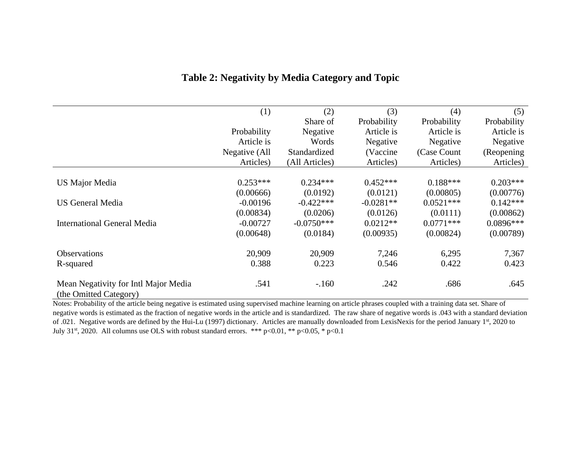|                                                                | (1)           | (2)            | (3)         | (4)          | (5)         |
|----------------------------------------------------------------|---------------|----------------|-------------|--------------|-------------|
|                                                                |               | Share of       | Probability | Probability  | Probability |
|                                                                | Probability   | Negative       | Article is  | Article is   | Article is  |
|                                                                | Article is    | Words          | Negative    | Negative     | Negative    |
|                                                                | Negative (All | Standardized   | (Vaccine)   | (Case Count) | (Reopening) |
|                                                                | Articles)     | (All Articles) | Articles)   | Articles)    | Articles)   |
|                                                                |               |                |             | $0.188***$   | $0.203***$  |
| <b>US Major Media</b>                                          | $0.253***$    | $0.234***$     | $0.452***$  |              |             |
|                                                                | (0.00666)     | (0.0192)       | (0.0121)    | (0.00805)    | (0.00776)   |
| <b>US General Media</b>                                        | $-0.00196$    | $-0.422***$    | $-0.0281**$ | $0.0521***$  | $0.142***$  |
|                                                                | (0.00834)     | (0.0206)       | (0.0126)    | (0.0111)     | (0.00862)   |
| <b>International General Media</b>                             | $-0.00727$    | $-0.0750***$   | $0.0212**$  | $0.0771***$  | $0.0896***$ |
|                                                                | (0.00648)     | (0.0184)       | (0.00935)   | (0.00824)    | (0.00789)   |
| <b>Observations</b>                                            | 20,909        | 20,909         | 7,246       | 6,295        | 7,367       |
| R-squared                                                      | 0.388         | 0.223          | 0.546       | 0.422        | 0.423       |
|                                                                |               |                |             |              |             |
| Mean Negativity for Intl Major Media<br>(the Omitted Category) | .541          | $-160$         | .242        | .686         | .645        |

### **Table 2: Negativity by Media Category and Topic**

Notes: Probability of the article being negative is estimated using supervised machine learning on article phrases coupled with a training data set. Share of negative words is estimated as the fraction of negative words in the article and is standardized. The raw share of negative words is .043 with a standard deviation of .021. Negative words are defined by the Hui-Lu (1997) dictionary. Articles are manually downloaded from LexisNexis for the period January 1st, 2020 to July 31<sup>st</sup>, 2020. All columns use OLS with robust standard errors. \*\*\* p<0.01, \*\* p<0.05, \* p<0.1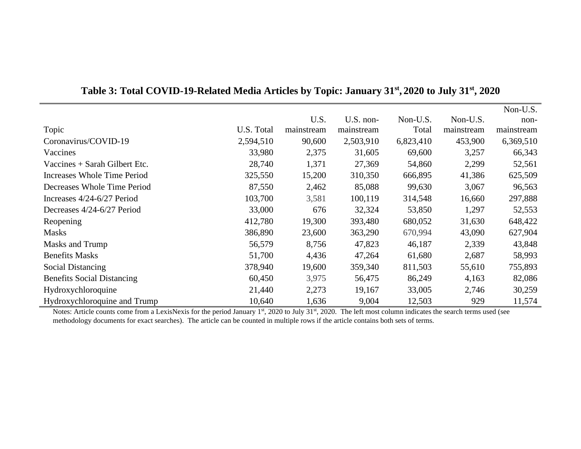|                                   |            |            |            |           |            | Non-U.S.   |
|-----------------------------------|------------|------------|------------|-----------|------------|------------|
|                                   |            | U.S.       | U.S. non-  | Non-U.S.  | Non-U.S.   | non-       |
| Topic                             | U.S. Total | mainstream | mainstream | Total     | mainstream | mainstream |
| Coronavirus/COVID-19              | 2,594,510  | 90,600     | 2,503,910  | 6,823,410 | 453,900    | 6,369,510  |
| Vaccines                          | 33,980     | 2,375      | 31,605     | 69,600    | 3,257      | 66,343     |
| Vaccines $+$ Sarah Gilbert Etc.   | 28,740     | 1,371      | 27,369     | 54,860    | 2,299      | 52,561     |
| Increases Whole Time Period       | 325,550    | 15,200     | 310,350    | 666,895   | 41,386     | 625,509    |
| Decreases Whole Time Period       | 87,550     | 2,462      | 85,088     | 99,630    | 3,067      | 96,563     |
| Increases 4/24-6/27 Period        | 103,700    | 3,581      | 100,119    | 314,548   | 16,660     | 297,888    |
| Decreases 4/24-6/27 Period        | 33,000     | 676        | 32,324     | 53,850    | 1,297      | 52,553     |
| Reopening                         | 412,780    | 19,300     | 393,480    | 680,052   | 31,630     | 648,422    |
| <b>Masks</b>                      | 386,890    | 23,600     | 363,290    | 670,994   | 43,090     | 627,904    |
| Masks and Trump                   | 56,579     | 8,756      | 47,823     | 46,187    | 2,339      | 43,848     |
| <b>Benefits Masks</b>             | 51,700     | 4,436      | 47,264     | 61,680    | 2,687      | 58,993     |
| <b>Social Distancing</b>          | 378,940    | 19,600     | 359,340    | 811,503   | 55,610     | 755,893    |
| <b>Benefits Social Distancing</b> | 60,450     | 3,975      | 56,475     | 86,249    | 4,163      | 82,086     |
| Hydroxychloroquine                | 21,440     | 2,273      | 19,167     | 33,005    | 2,746      | 30,259     |
| Hydroxychloroquine and Trump      | 10,640     | 1,636      | 9,004      | 12,503    | 929        | 11,574     |

### **Table 3: Total COVID-19-Related Media Articles by Topic: January 31st , 2020 to July 31st , 2020**

Notes: Article counts come from a LexisNexis for the period January 1<sup>st</sup>, 2020 to July 31<sup>st</sup>, 2020. The left most column indicates the search terms used (see methodology documents for exact searches). The article can be counted in multiple rows if the article contains both sets of terms.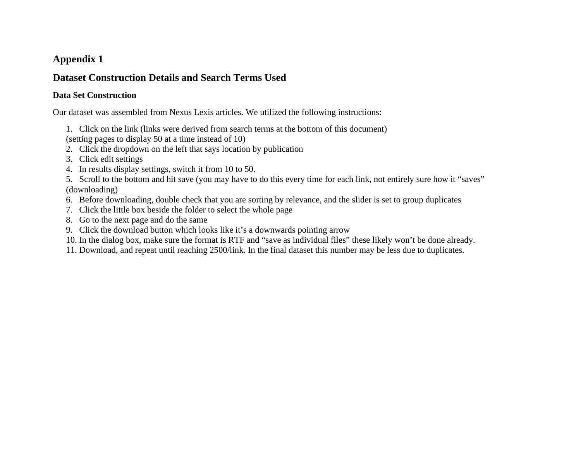### **Appendix 1**

### **Dataset Construction Details and Search Terms Used**

### **Data Set Construction**

Our dataset was assembled from Nexus Lexis articles. We utilized the following instructions:

1. Click on the link (links were derived from search terms at the bottom of this document)

(setting pages to display 50 at a time instead of 10)

2. Click the dropdown on the left that says location by publication

- 3. Click edit settings
- 4. In results display settings, switch it from 10 to 50.

5. Scroll to the bottom and hit save (you may have to do this every time for each link, not entirely sure how it "saves" (downloading)

- 6. Before downloading, double check that you are sorting by relevance, and the slider is set to group duplicates
- 7. Click the little box beside the folder to select the whole page
- 8. Go to the next page and do the same
- 9. Click the download button which looks like it's a downwards pointing arrow

10. In the dialog box, make sure the format is RTF and "save as individual files" these likely won't be done already.

11. Download, and repeat until reaching 2500/link. In the final dataset this number may be less due to duplicates.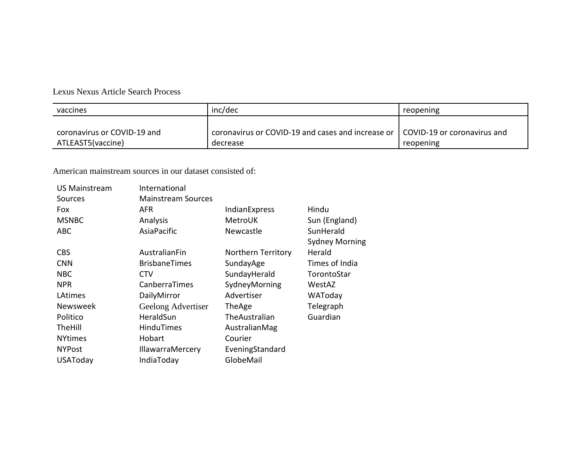### Lexus Nexus Article Search Process

| vaccines                    | inc/dec                                                                         | reopening |
|-----------------------------|---------------------------------------------------------------------------------|-----------|
|                             |                                                                                 |           |
| coronavirus or COVID-19 and | coronavirus or COVID-19 and cases and increase or   COVID-19 or coronavirus and |           |
| ATLEAST5(vaccine)           | decrease                                                                        | reopening |

American mainstream sources in our dataset consisted of:

| <b>US Mainstream</b> | International             |                    |                       |
|----------------------|---------------------------|--------------------|-----------------------|
| Sources              | <b>Mainstream Sources</b> |                    |                       |
| <b>Fox</b>           | AFR                       | IndianExpress      | Hindu                 |
| <b>MSNBC</b>         | Analysis                  | MetroUK            | Sun (England)         |
| <b>ABC</b>           | AsiaPacific               | Newcastle          | SunHerald             |
|                      |                           |                    | <b>Sydney Morning</b> |
| CBS                  | AustralianFin             | Northern Territory | Herald                |
| <b>CNN</b>           | <b>BrisbaneTimes</b>      | SundayAge          | Times of India        |
| <b>NBC</b>           | <b>CTV</b>                | SundayHerald       | TorontoStar           |
| <b>NPR</b>           | CanberraTimes             | SydneyMorning      | WestAZ                |
| LAtimes              | DailyMirror               | Advertiser         | WAToday               |
| <b>Newsweek</b>      | Geelong Advertiser        | TheAge             | Telegraph             |
| Politico             | HeraldSun                 | The Australian     | Guardian              |
| <b>TheHill</b>       | <b>HinduTimes</b>         | AustralianMag      |                       |
| <b>NYtimes</b>       | Hobart                    | Courier            |                       |
| <b>NYPost</b>        | <b>IllawarraMercery</b>   | EveningStandard    |                       |
| <b>USAToday</b>      | IndiaToday                | GlobeMail          |                       |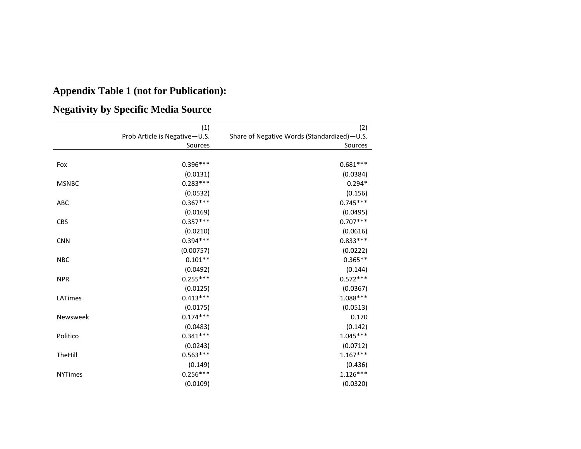# **Appendix Table 1 (not for Publication):**

# **Negativity by Specific Media Source**

|                | (1)                           | (2)                                         |
|----------------|-------------------------------|---------------------------------------------|
|                | Prob Article is Negative-U.S. | Share of Negative Words (Standardized)-U.S. |
|                | Sources                       | Sources                                     |
|                |                               |                                             |
| Fox            | $0.396***$                    | $0.681***$                                  |
|                | (0.0131)                      | (0.0384)                                    |
| <b>MSNBC</b>   | $0.283***$                    | $0.294*$                                    |
|                | (0.0532)                      | (0.156)                                     |
| ABC            | $0.367***$                    | $0.745***$                                  |
|                | (0.0169)                      | (0.0495)                                    |
| <b>CBS</b>     | $0.357***$                    | $0.707***$                                  |
|                | (0.0210)                      | (0.0616)                                    |
| <b>CNN</b>     | $0.394***$                    | $0.833***$                                  |
|                | (0.00757)                     | (0.0222)                                    |
| <b>NBC</b>     | $0.101**$                     | $0.365**$                                   |
|                | (0.0492)                      | (0.144)                                     |
| <b>NPR</b>     | $0.255***$                    | $0.572***$                                  |
|                | (0.0125)                      | (0.0367)                                    |
| LATimes        | $0.413***$                    | $1.088***$                                  |
|                | (0.0175)                      | (0.0513)                                    |
| Newsweek       | $0.174***$                    | 0.170                                       |
|                | (0.0483)                      | (0.142)                                     |
| Politico       | $0.341***$                    | $1.045***$                                  |
|                | (0.0243)                      | (0.0712)                                    |
| TheHill        | $0.563***$                    | $1.167***$                                  |
|                | (0.149)                       | (0.436)                                     |
| <b>NYTimes</b> | $0.256***$                    | $1.126***$                                  |
|                | (0.0109)                      | (0.0320)                                    |
|                |                               |                                             |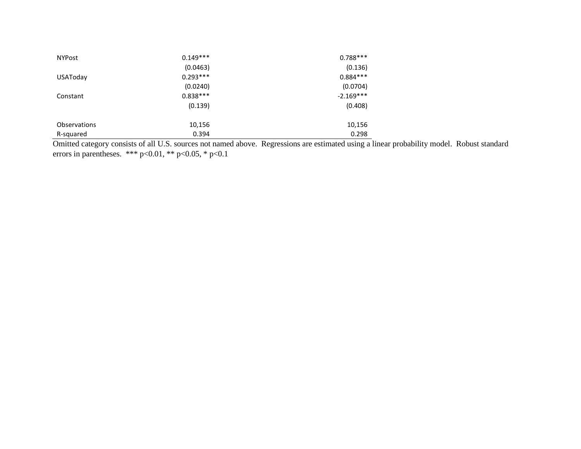| <b>NYPost</b> | $0.149***$ | $0.788***$  |
|---------------|------------|-------------|
|               | (0.0463)   | (0.136)     |
| USAToday      | $0.293***$ | $0.884***$  |
|               | (0.0240)   | (0.0704)    |
| Constant      | $0.838***$ | $-2.169***$ |
|               | (0.139)    | (0.408)     |
| Observations  | 10,156     | 10,156      |
| R-squared     | 0.394      | 0.298       |

Omitted category consists of all U.S. sources not named above. Regressions are estimated using a linear probability model. Robust standard errors in parentheses. \*\*\* p<0.01, \*\* p<0.05, \* p<0.1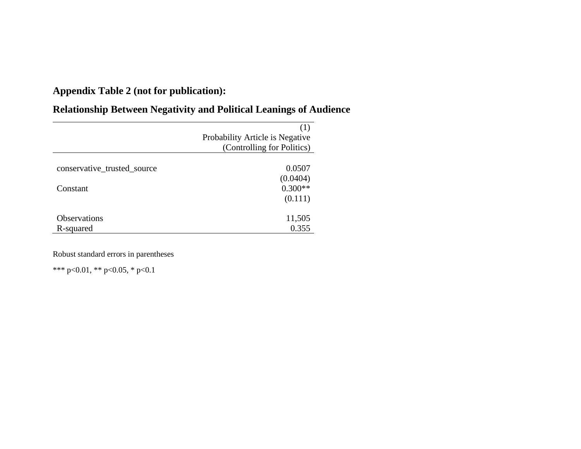## **Appendix Table 2 (not for publication):**

## (1) Probability Article is Negative (Controlling for Politics) conservative\_trusted\_source 0.0507  $(0.0404)$ <br> $0.300**$ Constant (0.111) Observations 11,505<br>R-squared 0.355 R-squared

## **Relationship Between Negativity and Political Leanings of Audience**

Robust standard errors in parentheses

\*\*\* p<0.01, \*\* p<0.05, \* p<0.1